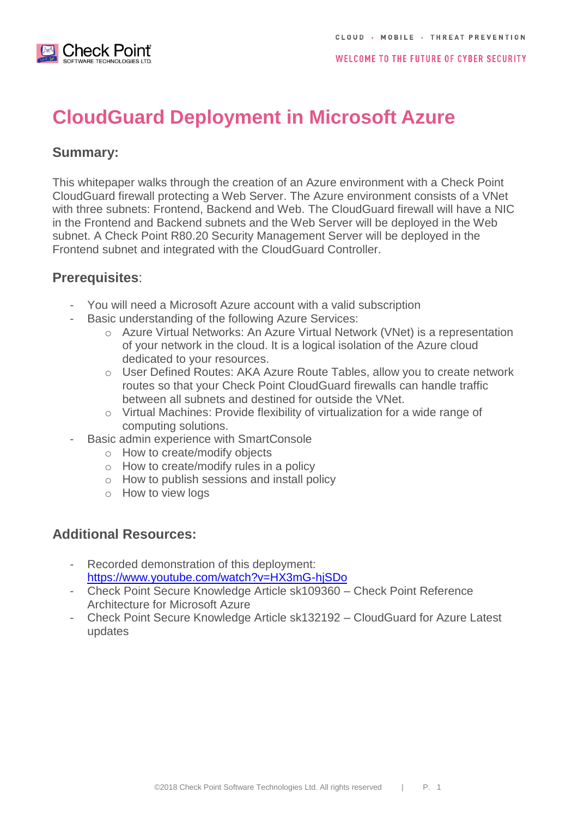

# **CloudGuard Deployment in Microsoft Azure**

### **Summary:**

This whitepaper walks through the creation of an Azure environment with a Check Point CloudGuard firewall protecting a Web Server. The Azure environment consists of a VNet with three subnets: Frontend, Backend and Web. The CloudGuard firewall will have a NIC in the Frontend and Backend subnets and the Web Server will be deployed in the Web subnet. A Check Point R80.20 Security Management Server will be deployed in the Frontend subnet and integrated with the CloudGuard Controller.

#### **Prerequisites**:

- You will need a Microsoft Azure account with a valid subscription
- Basic understanding of the following Azure Services:
	- o Azure Virtual Networks: An Azure Virtual Network (VNet) is a representation of your network in the cloud. It is a logical isolation of the Azure cloud dedicated to your resources.
	- o User Defined Routes: AKA Azure Route Tables, allow you to create network routes so that your Check Point CloudGuard firewalls can handle traffic between all subnets and destined for outside the VNet.
	- o Virtual Machines: Provide flexibility of virtualization for a wide range of computing solutions.
	- Basic admin experience with SmartConsole
		- o How to create/modify objects
		- o How to create/modify rules in a policy
		- o How to publish sessions and install policy
		- o How to view logs

## **Additional Resources:**

- Recorded demonstration of this deployment: <https://www.youtube.com/watch?v=HX3mG-hjSDo>
- Check Point Secure Knowledge Article sk109360 Check Point Reference Architecture for Microsoft Azure
- Check Point Secure Knowledge Article sk132192 CloudGuard for Azure Latest updates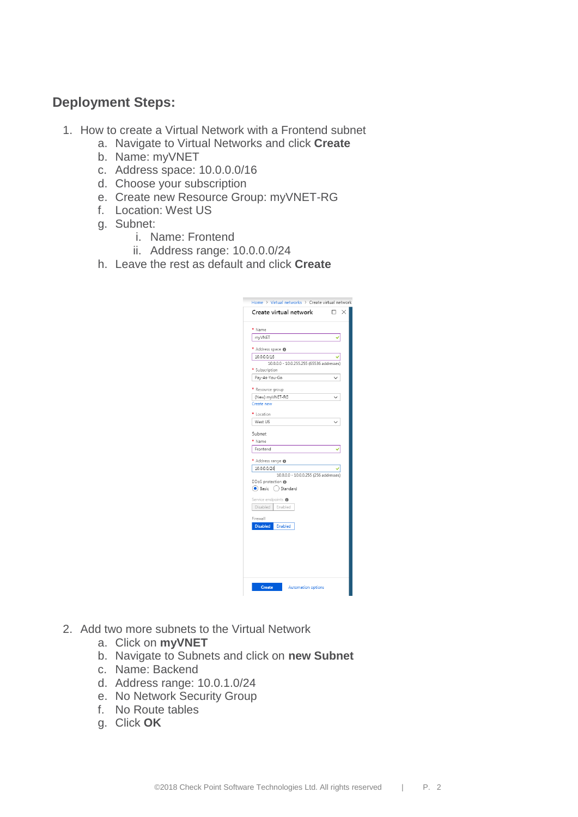# **Deployment Steps:**

- 1. How to create a Virtual Network with a Frontend subnet
	- a. Navigate to Virtual Networks and click **Create**
	- b. Name: myVNET
	- c. Address space: 10.0.0.0/16
	- d. Choose your subscription
	- e. Create new Resource Group: myVNET-RG
	- f. Location: West US
	- g. Subnet:
		- i. Name: Frontend
		- ii. Address range: 10.0.0.0/24
	- h. Leave the rest as default and click **Create**

| * Name<br>myVNET<br>* Address space <sup>®</sup><br>10.0.0.0/16<br>* Subscription<br>Pay-As-You-Go<br>* Resource group<br>(New) myVNET-RG<br>Create new<br>* Location<br>West US<br>Subnet<br>* Name<br>Frontend<br>* Address range <sup>®</sup><br>10.0.0.0/24<br>DDoS protection @<br>Basic () Standard<br>Service endpoints <sup>O</sup><br>Disabled<br>Enabled<br>Firewall<br><b>Disabled</b><br>Enabled | Create virtual network                     | □ |
|--------------------------------------------------------------------------------------------------------------------------------------------------------------------------------------------------------------------------------------------------------------------------------------------------------------------------------------------------------------------------------------------------------------|--------------------------------------------|---|
| 10.0.0.0 - 10.0.255.255 (65536 addresses)<br>10.0.0.0 - 10.0.0.255 (256 addresses)                                                                                                                                                                                                                                                                                                                           |                                            |   |
|                                                                                                                                                                                                                                                                                                                                                                                                              |                                            |   |
|                                                                                                                                                                                                                                                                                                                                                                                                              |                                            |   |
|                                                                                                                                                                                                                                                                                                                                                                                                              |                                            |   |
|                                                                                                                                                                                                                                                                                                                                                                                                              |                                            |   |
|                                                                                                                                                                                                                                                                                                                                                                                                              |                                            |   |
|                                                                                                                                                                                                                                                                                                                                                                                                              |                                            |   |
|                                                                                                                                                                                                                                                                                                                                                                                                              |                                            |   |
|                                                                                                                                                                                                                                                                                                                                                                                                              |                                            |   |
|                                                                                                                                                                                                                                                                                                                                                                                                              |                                            |   |
|                                                                                                                                                                                                                                                                                                                                                                                                              |                                            |   |
|                                                                                                                                                                                                                                                                                                                                                                                                              |                                            |   |
|                                                                                                                                                                                                                                                                                                                                                                                                              |                                            |   |
|                                                                                                                                                                                                                                                                                                                                                                                                              |                                            |   |
|                                                                                                                                                                                                                                                                                                                                                                                                              |                                            |   |
|                                                                                                                                                                                                                                                                                                                                                                                                              |                                            |   |
|                                                                                                                                                                                                                                                                                                                                                                                                              |                                            |   |
|                                                                                                                                                                                                                                                                                                                                                                                                              |                                            |   |
|                                                                                                                                                                                                                                                                                                                                                                                                              |                                            |   |
|                                                                                                                                                                                                                                                                                                                                                                                                              |                                            |   |
|                                                                                                                                                                                                                                                                                                                                                                                                              |                                            |   |
|                                                                                                                                                                                                                                                                                                                                                                                                              |                                            |   |
|                                                                                                                                                                                                                                                                                                                                                                                                              |                                            |   |
|                                                                                                                                                                                                                                                                                                                                                                                                              |                                            |   |
|                                                                                                                                                                                                                                                                                                                                                                                                              |                                            |   |
|                                                                                                                                                                                                                                                                                                                                                                                                              |                                            |   |
|                                                                                                                                                                                                                                                                                                                                                                                                              | <b>Create</b><br><b>Automation options</b> |   |

- 2. Add two more subnets to the Virtual Network
	- a. Click on **myVNET**
	- b. Navigate to Subnets and click on **new Subnet**
	- c. Name: Backend
	- d. Address range: 10.0.1.0/24
	- e. No Network Security Group
	- f. No Route tables
	- g. Click **OK**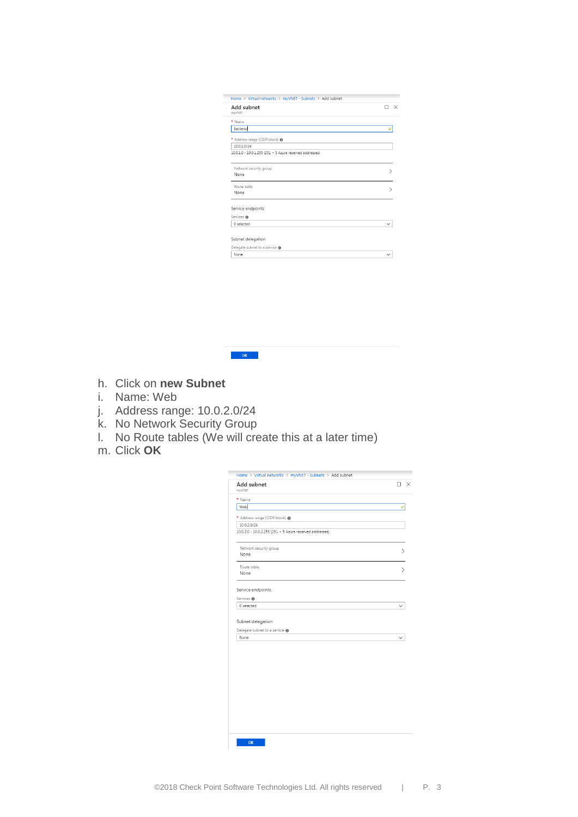| Add subnet<br>myVNET                                     | × |
|----------------------------------------------------------|---|
| * Name                                                   |   |
| Backend                                                  |   |
| * Address range (CIDR block) @                           |   |
| 10.0.1.0/24                                              |   |
| 10.0.1.0 - 10.0.1.255 (251 + 5 Azure reserved addresses) |   |
| Network security group                                   |   |
| None                                                     |   |
| Route table                                              |   |
| None                                                     |   |
| Service endpoints                                        |   |
| Services @                                               |   |
| 0 selected                                               |   |

- h. Click on **new Subnet**
- i. Name: Web
- j. Address range: 10.0.2.0/24
- k. No Network Security Group
- l. No Route tables (We will create this at a later time)

 $\overline{\mathbf{C}}$  or  $\overline{\mathbf{C}}$ 

m. Click **OK**

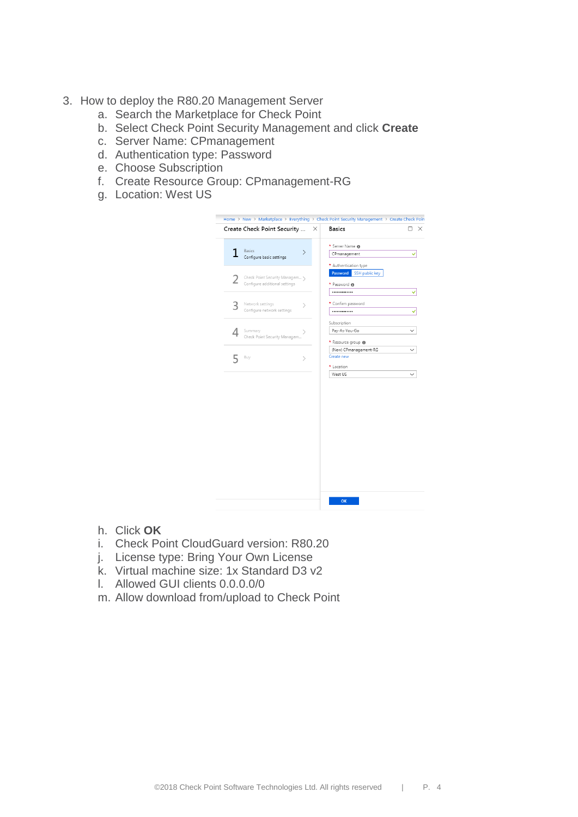- 3. How to deploy the R80.20 Management Server
	- a. Search the Marketplace for Check Point
	- b. Select Check Point Security Management and click **Create**
	- c. Server Name: CPmanagement
	- d. Authentication type: Password
	- e. Choose Subscription
	- f. Create Resource Group: CPmanagement-RG
	- g. Location: West US



- h. Click **OK**
- i. Check Point CloudGuard version: R80.20
- j. License type: Bring Your Own License
- k. Virtual machine size: 1x Standard D3 v2
- l. Allowed GUI clients 0.0.0.0/0
- m. Allow download from/upload to Check Point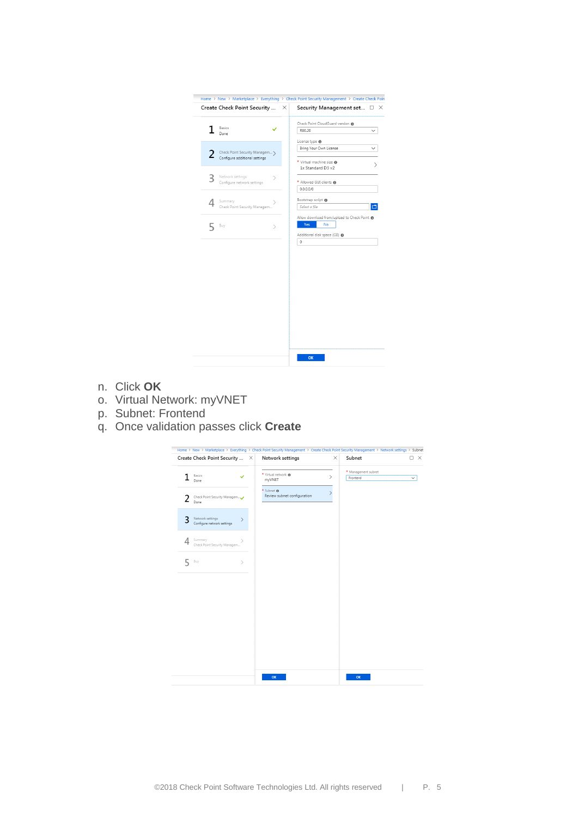| Create Check Point Security    | $\times$ | Security Management set □ ×                 |   |
|--------------------------------|----------|---------------------------------------------|---|
|                                |          | Check Point CloudGuard version @            |   |
| Basics<br>Done                 |          | R80.20                                      |   |
|                                |          | License type <sup>O</sup>                   |   |
| Check Point Security Managem > |          | Bring Your Own License                      |   |
| Configure additional settings  |          | ★ Virtual machine size @                    |   |
|                                |          | 1x Standard D3 v2                           | ⋋ |
| Network settings<br>⋋          |          |                                             |   |
| Configure network settings     |          | * Allowed GUI clients @                     |   |
|                                |          | 0.0.0.0/0                                   |   |
| Summary                        |          | Bootstrap script <sup>O</sup>               |   |
| Check Point Security Managem   |          | Select a file                               |   |
|                                |          | Allow download from/upload to Check Point @ |   |
| Buy<br>$\mathcal{P}$           |          | Yes<br>No                                   |   |
|                                |          | Additional disk space (GB) @                |   |
|                                |          |                                             |   |
|                                |          | 0                                           |   |
|                                |          |                                             |   |
|                                |          |                                             |   |
|                                |          |                                             |   |
|                                |          |                                             |   |
|                                |          |                                             |   |
|                                |          |                                             |   |
|                                |          |                                             |   |
|                                |          |                                             |   |
|                                |          |                                             |   |
|                                |          |                                             |   |
|                                |          |                                             |   |
|                                |          |                                             |   |
|                                |          |                                             |   |

- n. Click **OK**
- o. Virtual Network: myVNET
- p. Subnet: Frontend
- q. Once validation passes click **Create**

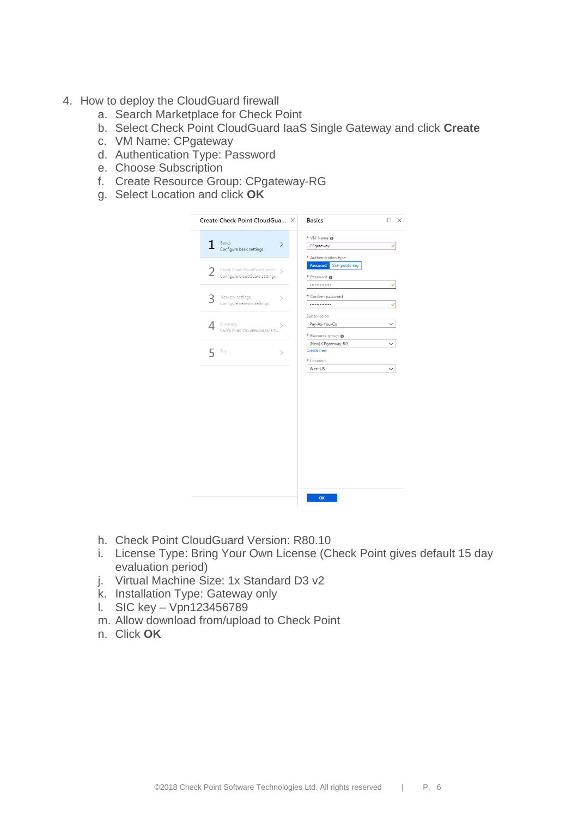- 4. How to deploy the CloudGuard firewall
	- a. Search Marketplace for Check Point
	- b. Select Check Point CloudGuard IaaS Single Gateway and click **Create**
	- c. VM Name: CPgateway
	- d. Authentication Type: Password
	- e. Choose Subscription
	- f. Create Resource Group: CPgateway-RG
	- g. Select Location and click **OK**



- h. Check Point CloudGuard Version: R80.10
- i. License Type: Bring Your Own License (Check Point gives default 15 day evaluation period)
- j. Virtual Machine Size: 1x Standard D3 v2
- k. Installation Type: Gateway only
- l. SIC key Vpn123456789
- m. Allow download from/upload to Check Point
- n. Click **OK**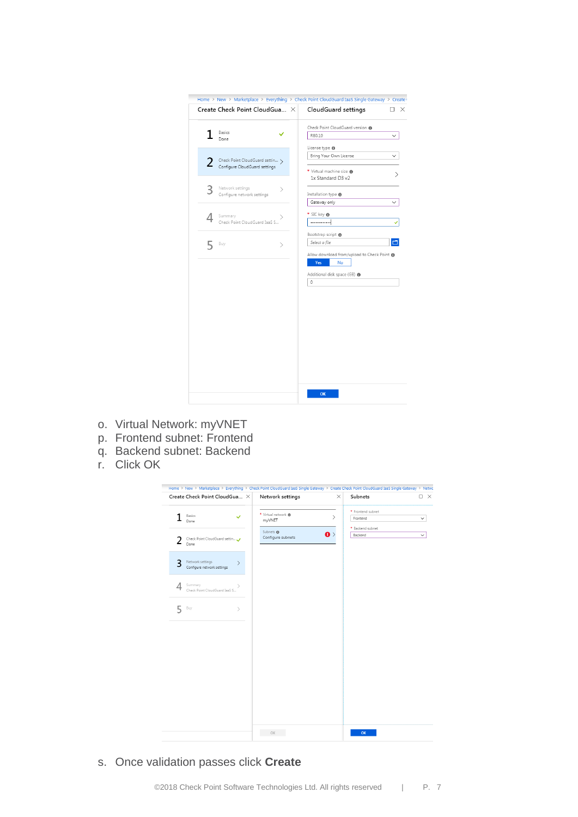|   | Create Check Point CloudGua X                  |   | CloudGuard settings                           | □ |
|---|------------------------------------------------|---|-----------------------------------------------|---|
|   |                                                |   | Check Point CloudGuard version                |   |
|   | Basics<br>Done                                 |   | R80.10                                        |   |
|   |                                                |   | License type <sup>O</sup>                     |   |
| 2 | Check Point CloudGuard settin >                |   | Bring Your Own License                        |   |
|   | Configure CloudGuard settings                  |   | ★ Virtual machine size ●<br>1x Standard D3 v2 |   |
|   | Network settings<br>Configure network settings | > | Installation type <sup>0</sup>                |   |
|   |                                                |   | Gateway only                                  |   |
| ⊥ | Summary                                        |   | * SIC key <b>O</b>                            |   |
|   | Check Point CloudGuard IaaS S                  |   |                                               |   |
|   |                                                |   | Bootstrap script <sup>0</sup>                 |   |
|   | Buy                                            | ↘ | Select a file                                 |   |
|   |                                                |   | Allow download from/upload to Check Point @   |   |
|   |                                                |   | Yes<br><b>No</b>                              |   |
|   |                                                |   | Additional disk space (GB) @                  |   |
|   |                                                |   | $\circ$                                       |   |
|   |                                                |   |                                               |   |
|   |                                                |   |                                               |   |
|   |                                                |   |                                               |   |
|   |                                                |   |                                               |   |
|   |                                                |   |                                               |   |
|   |                                                |   |                                               |   |
|   |                                                |   |                                               |   |
|   |                                                |   |                                               |   |
|   |                                                |   |                                               |   |
|   |                                                |   |                                               |   |
|   |                                                |   |                                               |   |
|   |                                                |   |                                               |   |

- o. Virtual Network: myVNET
- p. Frontend subnet: Frontend
- q. Backend subnet: Backend
- r. Click OK



s. Once validation passes click **Create**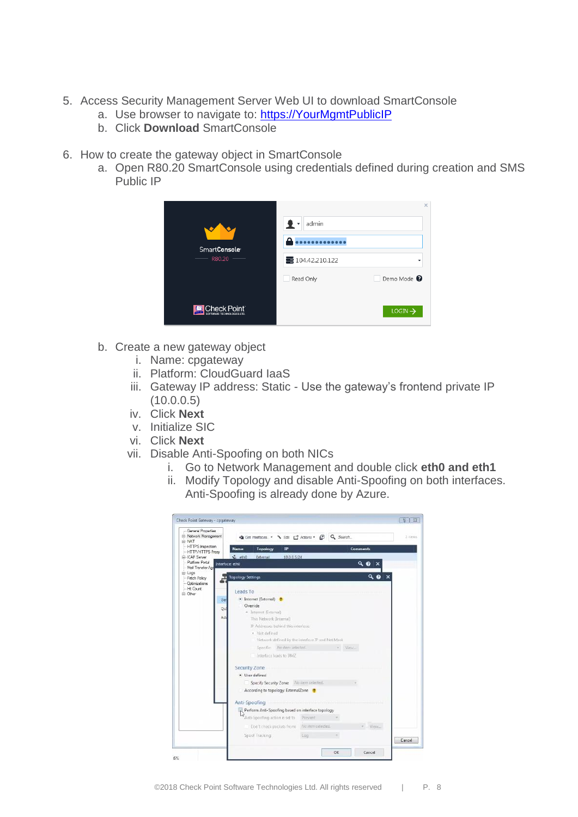- 5. Access Security Management Server Web UI to download SmartConsole
	- a. Use browser to navigate to: [https://YourMgmtPublicIP](https://yourmgmtpublicip/)
	- b. Click **Download** SmartConsole
- 6. How to create the gateway object in SmartConsole
	- a. Open R80.20 SmartConsole using credentials defined during creation and SMS Public IP

| SmartConsole <sup>®</sup><br>R80.20<br>٠        | admin<br>- ⊻ *<br>■ 104.42.210.122<br>Read Only | $\times$<br>٠<br>Demo Mode <sup>0</sup> |
|-------------------------------------------------|-------------------------------------------------|-----------------------------------------|
| Check Point <sup>.</sup><br><b>NOLOGIES LTD</b> |                                                 | $LOGIN \rightarrow$                     |

- b. Create a new gateway object
	- i. Name: cpgateway
	- ii. Platform: CloudGuard IaaS
	- iii. Gateway IP address: Static Use the gateway's frontend private IP  $(10.0.0.5)$
	- iv. Click **Next**
	- v. Initialize SIC
	- vi. Click **Next**
	- vii. Disable Anti-Spoofing on both NICs
		- i. Go to Network Management and double click **eth0 and eth1**
		- ii. Modify Topology and disable Anti-Spoofing on both interfaces. Anti-Spoofing is already done by Azure.

| -- General Properties<br>E Network Management       | Get Interfaces. . \ Edit   C Actions . @ Q Search   |     |         |                 | 2 idents |
|-----------------------------------------------------|-----------------------------------------------------|-----|---------|-----------------|----------|
| <b>III-NAT</b><br>- HTTPS inspection                | Name<br>Topology<br>IP.                             |     |         | <b>Comments</b> |          |
| -- HTTP/HTTPS Praxy                                 |                                                     |     |         |                 |          |
| E-ICAP Server<br>Platform Portal<br>Interface: ethD | $\sqrt{2}$ eth $0$<br>External<br>10.0.0.5/24       |     |         | $Q \odot x$     |          |
| Mail Transfer Age                                   |                                                     |     |         |                 |          |
| Ei-Logs<br>- Fetch Policy                           | <b>Topology Settings</b>                            |     |         | 90<br>×         |          |
| -- Optimizations                                    |                                                     |     |         |                 |          |
| - Hit Count<br>III - Other                          | leads To                                            |     |         |                 |          |
| Ger                                                 | · Internet (External) ·                             |     |         |                 |          |
|                                                     | <b>Override</b>                                     |     |         |                 |          |
| Qo!                                                 | · Internet (External)                               |     |         |                 |          |
| Adv                                                 | This Network Orderrial                              |     |         |                 |          |
|                                                     | JP Addresses behind this interface.                 |     |         |                 |          |
|                                                     | · Not defined                                       |     |         |                 |          |
|                                                     | Network defined by the interface IP and Net Mark    |     |         |                 |          |
|                                                     | Specific: No item selected.                         |     | - Wiew. |                 |          |
|                                                     | Interface leads to DMZ                              |     |         |                 |          |
|                                                     | Security Zone                                       |     |         |                 |          |
|                                                     | · User defined                                      |     |         |                 |          |
|                                                     | Specify Security Zone: No item selected.            |     |         |                 |          |
|                                                     | According to topology: ExternalZone                 |     |         |                 |          |
|                                                     | Anti-Spoofing                                       |     |         |                 |          |
|                                                     | R Perform Anti-Spoofing based on interface topology |     |         |                 |          |
|                                                     | Anti-Spoofing action is set to Prevent              |     |         |                 |          |
|                                                     | Don't check packets from: No dem selected.          |     |         | · View_         |          |
|                                                     | Spool Tracking:                                     | Log |         |                 | Cancel   |
|                                                     |                                                     |     |         |                 |          |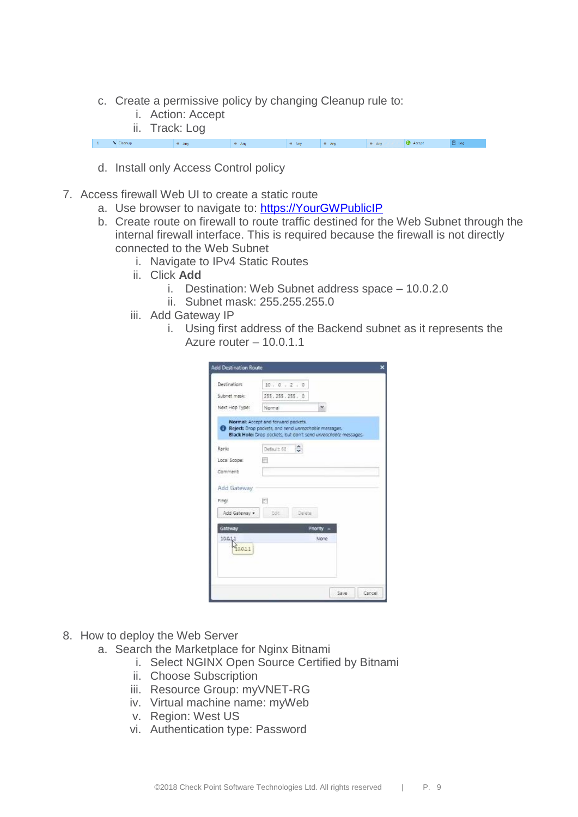- c. Create a permissive policy by changing Cleanup rule to:
	- i. Action: Accept
	- ii. Track: Log

 $\begin{vmatrix} 1 & \sqrt{2} \end{vmatrix}$  Cleanup  $\frac{1}{2}$   $\frac{1}{2}$  Any  $\bigoplus$  Accept  $\frac{1}{2}$   $\frac{1}{2}$   $\frac{1}{2}$   $\frac{1}{2}$   $\frac{1}{2}$   $\frac{1}{2}$   $\frac{1}{2}$   $\frac{1}{2}$   $\frac{1}{2}$   $\frac{1}{2}$   $\frac{1}{2}$   $\frac{1}{2}$   $\frac{1}{2}$   $\frac{1}{2}$   $\frac{1}{2}$   $\frac{1}{2}$   $\frac{1}{2}$   $\frac{1}{2}$   $\frac{1}{2}$   $\frac{1}{2}$   $\frac{1}{2}$   $\frac{1}{2}$   $*$  Any  $*$  Any  $# Any$  $\Box$  Log

- d. Install only Access Control policy
- 7. Access firewall Web UI to create a static route
	- a. Use browser to navigate to: [https://YourGWPublicIP](https://yourgwpublicip/)
	- b. Create route on firewall to route traffic destined for the Web Subnet through the internal firewall interface. This is required because the firewall is not directly connected to the Web Subnet
		- i. Navigate to IPv4 Static Routes
		- ii. Click **Add**
			- i. Destination: Web Subnet address space 10.0.2.0
			- ii. Subnet mask: 255.255.255.0
		- iii. Add Gateway IP
			- i. Using first address of the Backend subnet as it represents the Azure router – 10.0.1.1

| Destinations   | 10.0.2.0                                                                                                                                                      |            |  |
|----------------|---------------------------------------------------------------------------------------------------------------------------------------------------------------|------------|--|
| Subnet mask:   | 255.255.255.0                                                                                                                                                 |            |  |
| Next Hop Type: | Normal                                                                                                                                                        | ×          |  |
|                | Normal: Accept and forward packets.<br>Reject: Drop packets, and send unreochsbie messages.<br>Black Hole: Drop packets, but don't send unreachable messages. |            |  |
| Rank:          | ٥<br>Default: 60                                                                                                                                              |            |  |
| Local Scope:   | 回                                                                                                                                                             |            |  |
| Comment:       |                                                                                                                                                               |            |  |
| Add Gateway    |                                                                                                                                                               |            |  |
| Finge          | m                                                                                                                                                             |            |  |
| Add Gateway .  | Edit.<br>Delete                                                                                                                                               |            |  |
| Gateway        |                                                                                                                                                               | Priority - |  |
| 10.0.1         |                                                                                                                                                               | None       |  |
| 10011          |                                                                                                                                                               |            |  |
|                |                                                                                                                                                               |            |  |
|                |                                                                                                                                                               |            |  |

- 8. How to deploy the Web Server
	- a. Search the Marketplace for Nginx Bitnami
		- i. Select NGINX Open Source Certified by Bitnami
		- ii. Choose Subscription
		- iii. Resource Group: myVNET-RG
		- iv. Virtual machine name: myWeb
		- v. Region: West US
		- vi. Authentication type: Password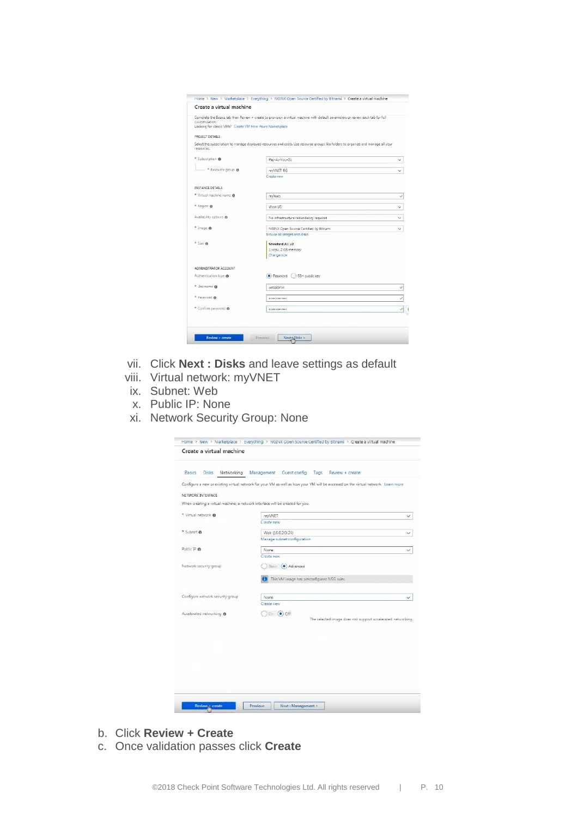| Create a virtual machine                                                    |                                                                                                                                  |              |
|-----------------------------------------------------------------------------|----------------------------------------------------------------------------------------------------------------------------------|--------------|
| customization.<br>Looking for classic VMs? Create VM from Azure Marketplace | Complete the Basics tab then Review + create to provision a virtual machine with default parameters or review each tab for full  |              |
| PROJECT DETAILS                                                             |                                                                                                                                  |              |
| resources.                                                                  | Select the subscription to manage deployed resources and costs. Use resource groups like folders to organize and manage all your |              |
| * Subscription @                                                            | Pay-As-You-Go                                                                                                                    |              |
| * Resource group @                                                          | my/VNET-RG                                                                                                                       |              |
|                                                                             | Create new                                                                                                                       |              |
| INSTANCE DETAILS                                                            |                                                                                                                                  |              |
| * Virtual machine name @                                                    | mvWeb                                                                                                                            |              |
| * Region @                                                                  | West US                                                                                                                          | $\checkmark$ |
| Availability options <sup>@</sup>                                           | No infrastructure redundancy required                                                                                            |              |
| * Image ®                                                                   | NGINX Open Source Certified by Bitnami                                                                                           | $\checkmark$ |
|                                                                             | Browse all images and disks                                                                                                      |              |
| $*$ Size $\Theta$                                                           | Standard A1 v2                                                                                                                   |              |
|                                                                             | 1 ycou, 2 GB memory                                                                                                              |              |
|                                                                             | Change size                                                                                                                      |              |
| ADMINISTRATOR ACCOUNT                                                       |                                                                                                                                  |              |
| Authentication type @                                                       | Dassword (<br>SSH public key                                                                                                     |              |
| * Username @                                                                | webadmin                                                                                                                         |              |
| * Password @                                                                |                                                                                                                                  | Ù            |
| * Confirm password @                                                        |                                                                                                                                  | Ù            |
|                                                                             |                                                                                                                                  |              |
|                                                                             |                                                                                                                                  |              |

- vii. Click **Next : Disks** and leave settings as default
- viii. Virtual network: myVNET
- ix. Subnet: Web
- x. Public IP: None
- xi. Network Security Group: None

| Basics                                                                        | Disks Networking Management Guest config Tags<br>Review + create                                                                   |  |
|-------------------------------------------------------------------------------|------------------------------------------------------------------------------------------------------------------------------------|--|
|                                                                               | Configure a new or existing virtual network for your VM as well as how your VM will be accessed on the virtual network. Learn more |  |
| NETWORK INTERFACE                                                             |                                                                                                                                    |  |
| When creating a virtual machine, a network interface will be created for you. |                                                                                                                                    |  |
| * Virtual network @                                                           |                                                                                                                                    |  |
|                                                                               | myVNET<br>Create new                                                                                                               |  |
|                                                                               |                                                                                                                                    |  |
| * Subnet O                                                                    | Web (10.0.2.0/24)                                                                                                                  |  |
|                                                                               | Manage subnet configuration                                                                                                        |  |
| Public IP ®                                                                   | None                                                                                                                               |  |
|                                                                               | Create new                                                                                                                         |  |
| Network security group                                                        | dasi: (a) Advanced                                                                                                                 |  |
|                                                                               | This VM image has preconfigured NSG rules                                                                                          |  |
| Configure network security group                                              | None                                                                                                                               |  |
|                                                                               | Create new                                                                                                                         |  |
|                                                                               |                                                                                                                                    |  |
|                                                                               | Och Och                                                                                                                            |  |
| Accelerated networking @                                                      | The selected image does not support accelerated networking.                                                                        |  |
|                                                                               |                                                                                                                                    |  |
|                                                                               |                                                                                                                                    |  |
|                                                                               |                                                                                                                                    |  |
|                                                                               |                                                                                                                                    |  |
|                                                                               |                                                                                                                                    |  |
|                                                                               |                                                                                                                                    |  |
|                                                                               |                                                                                                                                    |  |
|                                                                               |                                                                                                                                    |  |

- b. Click **Review + Create**
- c. Once validation passes click **Create**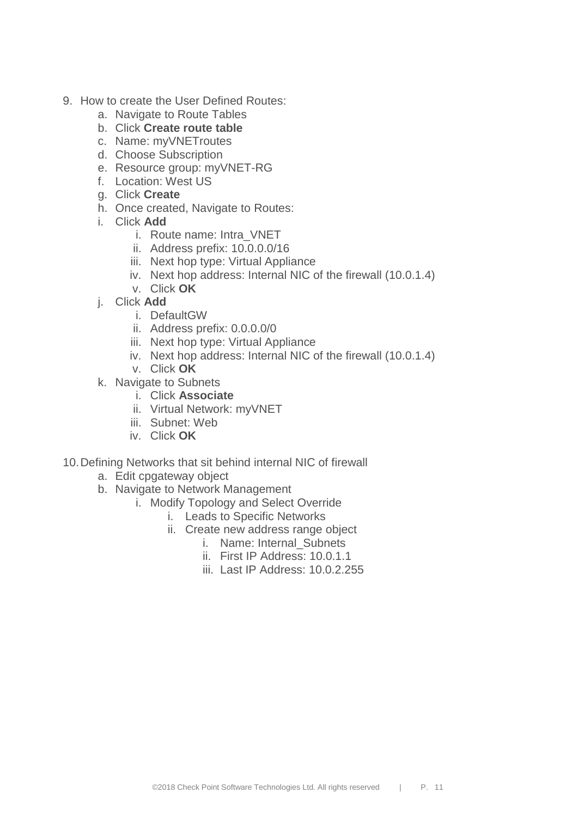- 9. How to create the User Defined Routes:
	- a. Navigate to Route Tables
	- b. Click **Create route table**
	- c. Name: myVNETroutes
	- d. Choose Subscription
	- e. Resource group: myVNET-RG
	- f. Location: West US
	- g. Click **Create**
	- h. Once created, Navigate to Routes:
	- i. Click **Add**
		- i. Route name: Intra\_VNET
		- ii. Address prefix: 10.0.0.0/16
		- iii. Next hop type: Virtual Appliance
		- iv. Next hop address: Internal NIC of the firewall (10.0.1.4)
		- v. Click **OK**
	- j. Click **Add**
		- i. DefaultGW
		- ii. Address prefix: 0.0.0.0/0
		- iii. Next hop type: Virtual Appliance
		- iv. Next hop address: Internal NIC of the firewall (10.0.1.4)
		- v. Click **OK**
	- k. Navigate to Subnets
		- i. Click **Associate**
		- ii. Virtual Network: myVNET
		- iii. Subnet: Web
		- iv. Click **OK**
- 10.Defining Networks that sit behind internal NIC of firewall
	- a. Edit cpgateway object
	- b. Navigate to Network Management
		- i. Modify Topology and Select Override
			- i. Leads to Specific Networks
			- ii. Create new address range object
				- i. Name: Internal Subnets
				- ii. First IP Address: 10.0.1.1
				- iii. Last IP Address: 10.0.2.255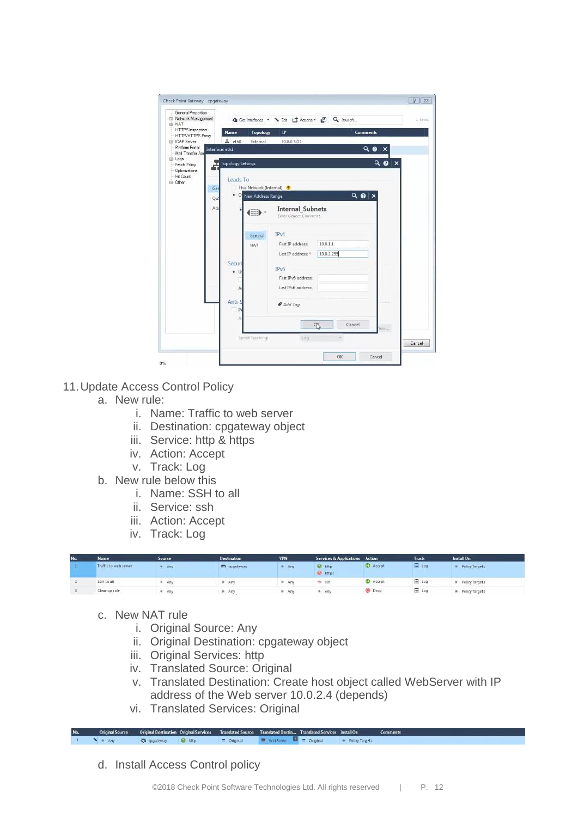| - General Properties<br>Ei-Network Management  |                      |                         | ● Get interfaces. • V Edt □ Actions • 回 Q Search  |                          |               | 2-tenis |
|------------------------------------------------|----------------------|-------------------------|---------------------------------------------------|--------------------------|---------------|---------|
| Ei-NAT<br>HTTPS inspection                     | Name                 | Topology                | IP                                                | <b>Comments</b>          |               |         |
| -- HTTP/HTTPS Praxy<br>E-ICAP Server           | $E$ $eth0$           | External                | 10.0.0.5/24                                       |                          |               |         |
| - Platform Portal<br>Mail Transfer Age         | Interface: eth1      |                         |                                                   |                          | 90<br>×       |         |
| El-Logs<br>-- Fetch Policy<br>-- Optimizations | In Topology Settings |                         |                                                   |                          | Q<br>$\times$ |         |
| -Hit Count                                     | Leads To             |                         |                                                   |                          |               |         |
| 国·Other<br>Ger                                 |                      | This Network (Internal) | e                                                 |                          |               |         |
| Qo!                                            |                      | · O New Address Range   |                                                   | $Q \odot x$              |               |         |
|                                                |                      |                         |                                                   |                          |               |         |
| Ad.                                            |                      | ш                       | <b>Internal Subnets</b><br>Enter Object Convinent |                          |               |         |
|                                                |                      | General                 | TPv4                                              |                          |               |         |
|                                                |                      | NAT                     | First IP address:                                 | 10.0.1.1                 |               |         |
|                                                |                      |                         | Last IP address: *                                | 10.0.2.255               |               |         |
|                                                | Secur                |                         |                                                   |                          |               |         |
|                                                | $\bullet$ U          |                         | <b>IPv6</b>                                       |                          |               |         |
|                                                |                      |                         | First IPv6 address:                               |                          |               |         |
|                                                | Α                    |                         | Last IPv6 address:                                |                          |               |         |
|                                                | Anti-S               |                         |                                                   |                          |               |         |
|                                                | P <sub>1</sub>       |                         | Add Tag                                           |                          |               |         |
|                                                | á                    |                         |                                                   |                          |               |         |
|                                                |                      |                         |                                                   | Cancel<br>$\mathbb{R}^p$ | icvr          |         |
|                                                |                      | Spool Tracking          | Log                                               |                          |               |         |
|                                                |                      |                         |                                                   |                          |               | Cancel  |

- 11.Update Access Control Policy
	- a. New rule:
		- i. Name: Traffic to web server
		- ii. Destination: cpgateway object
		- iii. Service: http & https
		- iv. Action: Accept
		- v. Track: Log
	- b. New rule below this
		- i. Name: SSH to all
		- ii. Service: ssh
		- iii. Action: Accept
		- iv. Track: Log

| No. | <b>Name</b>           | Source, | <b>Destination</b> | <b>VPN</b> | Services & Applications Action |                 | Track   | Install On            |
|-----|-----------------------|---------|--------------------|------------|--------------------------------|-----------------|---------|-----------------------|
|     | Traffic to web server | Arry.   | m cpgateway        | # Arty     | <b>Rd</b> http:<br>the hitps   | Accept          | E Log   | <b>Policy Targets</b> |
|     | SSH to all            | Any     | # Any              | # Arry     | <b>二 SSR</b>                   | <b>C</b> Accept | $E$ Log | # Policy Targets      |
|     | Cleanup rule          | # Any   | # Any              | 单 Arry     | # Any                          | <b>Drop</b>     | $E$ Log | # Policy Targets      |

- c. New NAT rule
	- i. Original Source: Any
	- ii. Original Destination: cpgateway object
	- iii. Original Services: http
	- iv. Translated Source: Original
	- v. Translated Destination: Create host object called WebServer with IP address of the Web server 10.0.2.4 (depends)
	- vi. Translated Services: Original

p mgate  $\sqrt{*}$  Any  $=$  Original

d. Install Access Control policy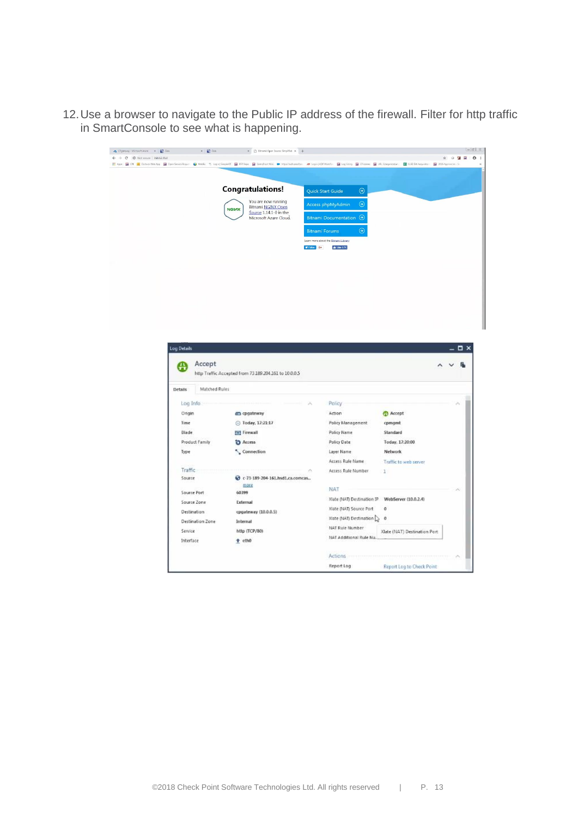12.Use a browser to navigate to the Public IP address of the firewall. Filter for http traffic in SmartConsole to see what is happening.

| A CP gateway - Microsoft Azure X   D Gaia                                                                                                                                                                                      | $x = 2$ Gein                                          | X     Bitnami: Open Source: Simplified X   +                                                  |                                                                                           |        |                  |
|--------------------------------------------------------------------------------------------------------------------------------------------------------------------------------------------------------------------------------|-------------------------------------------------------|-----------------------------------------------------------------------------------------------|-------------------------------------------------------------------------------------------|--------|------------------|
| $\leftarrow$ $\rightarrow$ C © Not secure   168.62.30.0                                                                                                                                                                        |                                                       |                                                                                               |                                                                                           |        | ☆ ○ 24 回         |
| E Apps   C (T   D Outlook Web App   C   Open Service Request   O Webs   % Login   Smpleon   Dempform Wiki   @ https://edubatedon   200   Capin   Conginering   C   Calceme   C   URL Compositation   2   URL Compositation   2 |                                                       |                                                                                               |                                                                                           |        |                  |
|                                                                                                                                                                                                                                | <b>Congratulations!</b><br><b>NGIMX</b>               | You are now running<br>Bitnami NGINX Open<br>Source 1.14.1-0 in the<br>Microsoft Azure Cloud. | $\odot$<br>Quick Start Guide<br>$\odot$<br>Access phpMyAdmin<br>Bitnami Documentation (a) |        |                  |
|                                                                                                                                                                                                                                |                                                       |                                                                                               | $\odot$<br><b>Bitnami Forums</b>                                                          |        |                  |
|                                                                                                                                                                                                                                |                                                       |                                                                                               | Learn more about the Bitnami Library.                                                     |        |                  |
|                                                                                                                                                                                                                                |                                                       | V Folive G+                                                                                   | $\frac{1}{2}$ Like 6.7K                                                                   |        |                  |
|                                                                                                                                                                                                                                |                                                       |                                                                                               |                                                                                           |        |                  |
|                                                                                                                                                                                                                                |                                                       |                                                                                               |                                                                                           |        |                  |
|                                                                                                                                                                                                                                |                                                       |                                                                                               |                                                                                           |        |                  |
|                                                                                                                                                                                                                                |                                                       |                                                                                               |                                                                                           |        |                  |
|                                                                                                                                                                                                                                |                                                       |                                                                                               |                                                                                           |        |                  |
|                                                                                                                                                                                                                                |                                                       |                                                                                               |                                                                                           |        |                  |
|                                                                                                                                                                                                                                |                                                       |                                                                                               |                                                                                           |        |                  |
|                                                                                                                                                                                                                                |                                                       |                                                                                               |                                                                                           |        |                  |
|                                                                                                                                                                                                                                |                                                       |                                                                                               |                                                                                           |        |                  |
|                                                                                                                                                                                                                                |                                                       |                                                                                               |                                                                                           |        |                  |
|                                                                                                                                                                                                                                |                                                       |                                                                                               |                                                                                           |        |                  |
|                                                                                                                                                                                                                                |                                                       |                                                                                               |                                                                                           |        |                  |
|                                                                                                                                                                                                                                |                                                       |                                                                                               |                                                                                           |        |                  |
|                                                                                                                                                                                                                                |                                                       |                                                                                               |                                                                                           |        |                  |
|                                                                                                                                                                                                                                |                                                       |                                                                                               |                                                                                           |        |                  |
|                                                                                                                                                                                                                                |                                                       |                                                                                               |                                                                                           |        |                  |
| Log Details                                                                                                                                                                                                                    |                                                       |                                                                                               |                                                                                           |        | $ \Box$ $\times$ |
|                                                                                                                                                                                                                                |                                                       |                                                                                               |                                                                                           |        |                  |
|                                                                                                                                                                                                                                |                                                       |                                                                                               |                                                                                           |        |                  |
| ₩                                                                                                                                                                                                                              | Accept                                                |                                                                                               |                                                                                           |        |                  |
|                                                                                                                                                                                                                                | http Traffic Accepted from 73.189.204.161 to 10.0.0.5 |                                                                                               |                                                                                           |        |                  |
|                                                                                                                                                                                                                                |                                                       |                                                                                               |                                                                                           |        |                  |
| <b>Details</b>                                                                                                                                                                                                                 | Matched Rules                                         |                                                                                               |                                                                                           |        |                  |
| Log Info                                                                                                                                                                                                                       |                                                       | ×                                                                                             | Policy                                                                                    |        | ×                |
| Origin                                                                                                                                                                                                                         | co cpgateway                                          |                                                                                               | Action                                                                                    | Accept |                  |
|                                                                                                                                                                                                                                | ⊙ Today, 17:21:17                                     |                                                                                               | Policy Management                                                                         | cpmgmt |                  |
| Time                                                                                                                                                                                                                           |                                                       |                                                                                               |                                                                                           |        |                  |

Policy Name

Policy Date

Layer Name

**NAT** 

 $\mathcal{A}_i$ 

Access Rule Name

Access Rule Number

Xlate (NAT) Source Port 0

Xiate (NAT) Destination  $\bigcup_{\mathcal{C}}$  0

NAT Additional Rule Nu...

NAT Rule Number

Actions Report Log Standard

Network

 $\overline{1}$ 

Xiate (NAT) Destination IP WebServer (10.0.2.4)

Today, 17:20:00

Traffic to web server

Xlate (NAT) Destination Port

Report Log to Check Point

Blade

Type

Traffic

Source

Source Port

Source Zone

Destination

Service

Interface

Destination Zone

Product Family

**E41** Firewall

**D** Access

 $\sim$  Connection

more

cpgateway (10.0.0.5)

60399

External

Internal

 $t$  eth $0$ 

http (TCP/80)

→ c-73-189-204-161.hsd1.ca.comcas..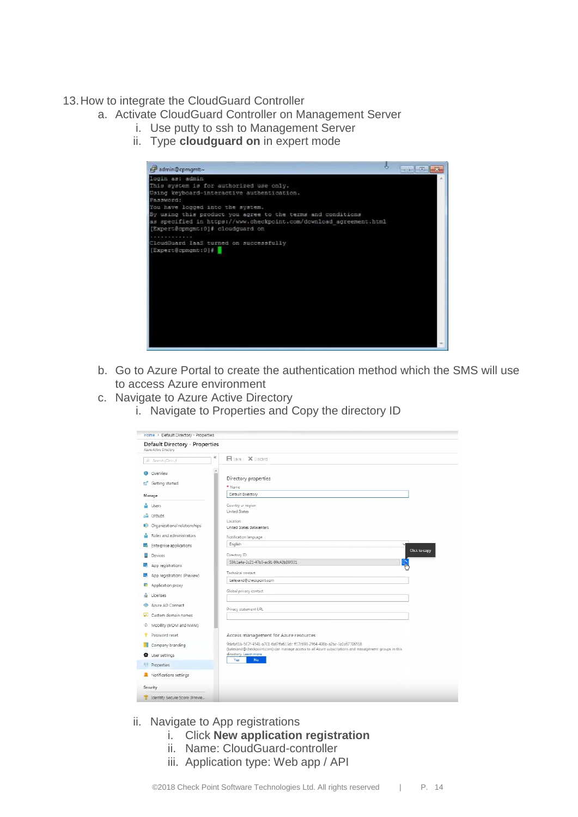#### 13.How to integrate the CloudGuard Controller

- a. Activate CloudGuard Controller on Management Server
	- i. Use putty to ssh to Management Server
		- ii. Type **cloudguard on** in expert mode



- b. Go to Azure Portal to create the authentication method which the SMS will use to access Azure environment
- c. Navigate to Azure Active Directory
	- i. Navigate to Properties and Copy the directory ID

| Home > Default Directory - Properties                    |                                                                                                                                                                                   |
|----------------------------------------------------------|-----------------------------------------------------------------------------------------------------------------------------------------------------------------------------------|
| Default Directory - Properties<br>Azure Active Directory |                                                                                                                                                                                   |
| ĸ<br>$\Box$ Search (Ctrl+/)                              | 日 Save X biscard                                                                                                                                                                  |
| Overview<br>œ                                            |                                                                                                                                                                                   |
| Getting started<br>ಚೆ                                    | Directory properties<br>* Name                                                                                                                                                    |
| Manage                                                   | Default Directory                                                                                                                                                                 |
| Users                                                    | Country or region<br>United States                                                                                                                                                |
| alle<br>Groups                                           | Location                                                                                                                                                                          |
| Organizational relationships<br>眼                        | United States datacenters                                                                                                                                                         |
| Roles and administrators                                 | Notification language                                                                                                                                                             |
| Enterprise applications<br>ш                             | English<br>Click to copy                                                                                                                                                          |
| <b>Devices</b>                                           | Directory ID                                                                                                                                                                      |
| App registrations                                        | 53fc1a4a-2c21-47b5-ac91-99c42b08f331                                                                                                                                              |
| App registrations (Preview)<br>愳                         | Technical contact                                                                                                                                                                 |
| Application proxy<br>認                                   | balexand@checkpoint.com                                                                                                                                                           |
| Licenses                                                 | Global privacy contact                                                                                                                                                            |
| Azure AD Connect                                         | Privacy statement URL                                                                                                                                                             |
| Custom domain names<br><b>Gentle</b>                     |                                                                                                                                                                                   |
| Mobility (MDM and MAM)<br>Ø.                             |                                                                                                                                                                                   |
| Password reset                                           | Access management for Azure resources                                                                                                                                             |
| Company branding                                         | 9defa61b-507f-4541-a701-6af7ffe613dc ff17c693-2964-400b-a2bc-3a1a67706518<br>(balexand@checkpoint.com) can manage access to all Azure subscriptions and management groups in this |
| <b>D</b> User settings                                   | directory. Learn more                                                                                                                                                             |
| <sup>I</sup> l <sup>1</sup> Properties                   | Yes.<br><b>No</b>                                                                                                                                                                 |
| Notifications settings                                   |                                                                                                                                                                                   |
| Security                                                 |                                                                                                                                                                                   |
| Identity Secure Score (Previe                            |                                                                                                                                                                                   |
|                                                          |                                                                                                                                                                                   |

- ii. Navigate to App registrations
	- i. Click **New application registration**
	- ii. Name: CloudGuard-controller
	- iii. Application type: Web app / API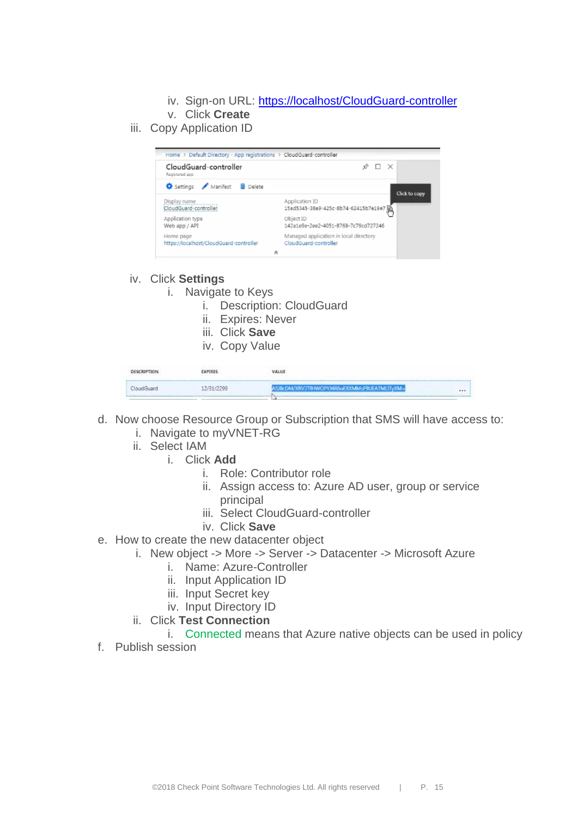- iv. Sign-on URL:<https://localhost/CloudGuard-controller>
- v. Click **Create**
- iii. Copy Application ID



- iv. Click **Settings**
	- i. Navigate to Keys
		- i. Description: CloudGuard
		- ii. Expires: Never
		- iii. Click **Save**
		- iv. Copy Value

| DESCRIPTION | <b>YPIRES</b> | VALUE                                |      |
|-------------|---------------|--------------------------------------|------|
|             | 2/21/2200     | ScDM/XRV2TIHWOPY.MR6oEXXMMsF9UEATMLI | 1111 |

- d. Now choose Resource Group or Subscription that SMS will have access to:
	- i. Navigate to myVNET-RG
	- ii. Select IAM
		- i. Click **Add**
			- i. Role: Contributor role
			- ii. Assign access to: Azure AD user, group or service principal
			- iii. Select CloudGuard-controller
			- iv. Click **Save**
- e. How to create the new datacenter object
	- i. New object -> More -> Server -> Datacenter -> Microsoft Azure
		- i. Name: Azure-Controller
		- ii. Input Application ID
		- iii. Input Secret key
		- iv. Input Directory ID
	- ii. Click **Test Connection**
		- i. Connected means that Azure native objects can be used in policy
- f. Publish session